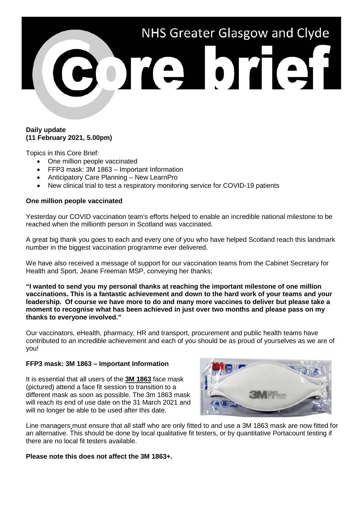# NHS Greater Glasgow and Clyde ore brief

### **Daily update (11 February 2021, 5.00pm)**

Topics in this Core Brief:

- One million people vaccinated
- FFP3 mask: 3M 1863 Important Information
- Anticipatory Care Planning New LearnPro
- New clinical trial to test a respiratory monitoring service for COVID-19 patients

## **One million people vaccinated**

Yesterday our COVID vaccination team's efforts helped to enable an incredible national milestone to be reached when the millionth person in Scotland was vaccinated.

A great big thank you goes to each and every one of you who have helped Scotland reach this landmark number in the biggest vaccination programme ever delivered.

We have also received a message of support for our vaccination teams from the Cabinet Secretary for Health and Sport, Jeane Freeman MSP, conveying her thanks;

**"I wanted to send you my personal thanks at reaching the important milestone of one million vaccinations. This is a fantastic achievement and down to the hard work of your teams and your leadership. Of course we have more to do and many more vaccines to deliver but please take a moment to recognise what has been achieved in just over two months and please pass on my thanks to everyone involved."**

Our vaccinators, eHealth, pharmacy, HR and transport, procurement and public health teams have contributed to an incredible achievement and each of you should be as proud of yourselves as we are of you!

## **FFP3 mask: 3M 1863 – Important Information**

It is essential that all users of the **3M 1863** face mask (pictured) attend a face fit session to transition to a different mask as soon as possible. The 3m 1863 mask will reach its end of use date on the 31 March 2021 and will no longer be able to be used after this date.



Line managers must ensure that all staff who are only fitted to and use a 3M 1863 mask are now fitted for an alternative. This should be done by local qualitative fit testers, or by quantitative Portacount testing if there are no local fit testers available.

## **Please note this does not affect the 3M 1863+.**